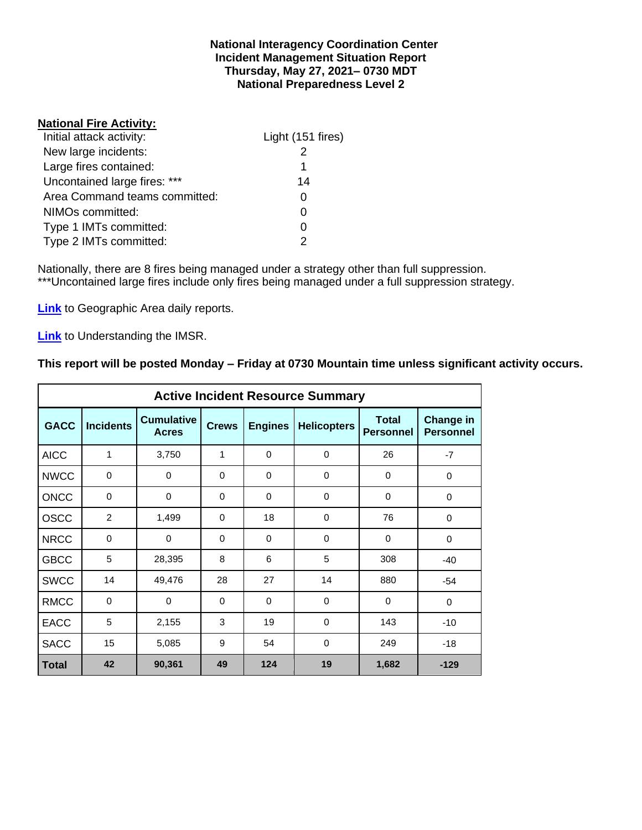#### **National Interagency Coordination Center Incident Management Situation Report Thursday, May 27, 2021– 0730 MDT National Preparedness Level 2**

#### **National Fire Activity:**

| Light (151 fires) |
|-------------------|
|                   |
| 1                 |
| 14                |
|                   |
|                   |
|                   |
|                   |
|                   |

Nationally, there are 8 fires being managed under a strategy other than full suppression. \*\*\*Uncontained large fires include only fires being managed under a full suppression strategy.

**[Link](http://www.nifc.gov/nicc/predictive/statelinks.htm)** to Geographic Area daily reports.

**[Link](https://www.predictiveservices.nifc.gov/intelligence/Understanding%20the%20IMSR%202019.pdf)** to Understanding the IMSR.

#### **This report will be posted Monday – Friday at 0730 Mountain time unless significant activity occurs.**

|              |                  |                                   |              |                  | <b>Active Incident Resource Summary</b> |                                  |                                      |
|--------------|------------------|-----------------------------------|--------------|------------------|-----------------------------------------|----------------------------------|--------------------------------------|
| <b>GACC</b>  | <b>Incidents</b> | <b>Cumulative</b><br><b>Acres</b> | <b>Crews</b> | <b>Engines</b>   | <b>Helicopters</b>                      | <b>Total</b><br><b>Personnel</b> | <b>Change in</b><br><b>Personnel</b> |
| <b>AICC</b>  | 1                | 3,750                             | 1            | $\mathbf 0$      | $\mathbf 0$                             | 26                               | $-7$                                 |
| <b>NWCC</b>  | $\mathbf 0$      | 0                                 | $\Omega$     | $\mathbf 0$      | 0                                       | 0                                | 0                                    |
| <b>ONCC</b>  | $\Omega$         | 0                                 | $\Omega$     | $\Omega$         | $\Omega$                                | $\Omega$                         | $\Omega$                             |
| <b>OSCC</b>  | $\overline{2}$   | 1,499                             | $\Omega$     | 18               | $\Omega$                                | 76                               | $\Omega$                             |
| <b>NRCC</b>  | 0                | 0                                 | 0            | $\mathbf 0$<br>0 |                                         | 0                                | $\mathbf 0$                          |
| <b>GBCC</b>  | 5                | 28,395                            | 8            | 6                | 5                                       | 308                              | $-40$                                |
| <b>SWCC</b>  | 14               | 49,476                            | 28           | 27               | 14                                      | 880                              | $-54$                                |
| <b>RMCC</b>  | $\mathbf 0$      | $\mathbf 0$                       | $\Omega$     | $\Omega$         | $\Omega$                                | $\Omega$                         | $\mathbf 0$                          |
| <b>EACC</b>  | 5                | 2,155                             | 3            | 19               | 0                                       | 143                              | $-10$                                |
| <b>SACC</b>  | 15               | 5,085                             | 9            | 54<br>$\Omega$   |                                         | 249                              | $-18$                                |
| <b>Total</b> | 42               | 90,361                            | 49           | 124              | 19                                      | 1,682                            | $-129$                               |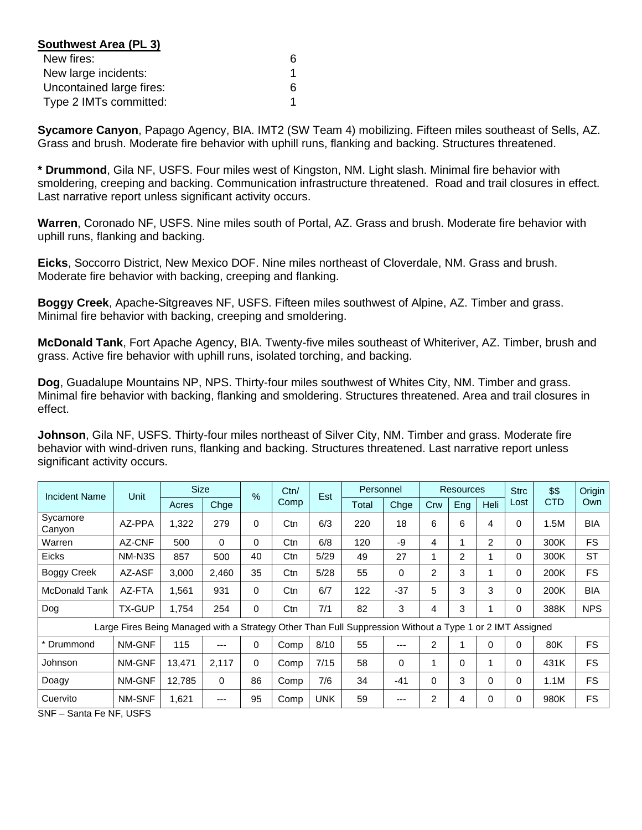| Southwest Area (PL 3)    |   |
|--------------------------|---|
| New fires:               | 6 |
| New large incidents:     |   |
| Uncontained large fires: | 6 |
| Type 2 IMTs committed:   |   |

**Sycamore Canyon**, Papago Agency, BIA. IMT2 (SW Team 4) mobilizing. Fifteen miles southeast of Sells, AZ. Grass and brush. Moderate fire behavior with uphill runs, flanking and backing. Structures threatened.

**\* Drummond**, Gila NF, USFS. Four miles west of Kingston, NM. Light slash. Minimal fire behavior with smoldering, creeping and backing. Communication infrastructure threatened. Road and trail closures in effect. Last narrative report unless significant activity occurs.

**Warren**, Coronado NF, USFS. Nine miles south of Portal, AZ. Grass and brush. Moderate fire behavior with uphill runs, flanking and backing.

**Eicks**, Soccorro District, New Mexico DOF. Nine miles northeast of Cloverdale, NM. Grass and brush. Moderate fire behavior with backing, creeping and flanking.

**Boggy Creek**, Apache-Sitgreaves NF, USFS. Fifteen miles southwest of Alpine, AZ. Timber and grass. Minimal fire behavior with backing, creeping and smoldering.

**McDonald Tank**, Fort Apache Agency, BIA. Twenty-five miles southeast of Whiteriver, AZ. Timber, brush and grass. Active fire behavior with uphill runs, isolated torching, and backing.

**Dog**, Guadalupe Mountains NP, NPS. Thirty-four miles southwest of Whites City, NM. Timber and grass. Minimal fire behavior with backing, flanking and smoldering. Structures threatened. Area and trail closures in effect.

**Johnson**, Gila NF, USFS. Thirty-four miles northeast of Silver City, NM. Timber and grass. Moderate fire behavior with wind-driven runs, flanking and backing. Structures threatened. Last narrative report unless significant activity occurs.

| <b>Incident Name</b> | Unit                                                                                                     | <b>Size</b> |       | $\frac{9}{6}$ | Ctn/ | Est        | Personnel |          |     | <b>Resources</b> |                | <b>Strc</b> | \$\$       | Origin     |
|----------------------|----------------------------------------------------------------------------------------------------------|-------------|-------|---------------|------|------------|-----------|----------|-----|------------------|----------------|-------------|------------|------------|
|                      |                                                                                                          | Acres       | Chge  |               | Comp |            | Total     | Chge     | Crw | Eng              | <b>Heli</b>    | Lost        | <b>CTD</b> | Own        |
| Sycamore<br>Canyon   | AZ-PPA                                                                                                   | 1,322       | 279   | 0             | Ctn  | 6/3        | 220       | 18       | 6   | 6                | 4              | 0           | 1.5M       | <b>BIA</b> |
| Warren               | AZ-CNF                                                                                                   | 500         | 0     | $\Omega$      | Ctn  | 6/8        | 120       | -9       | 4   | 1                | $\overline{2}$ | $\Omega$    | 300K       | FS.        |
| Eicks                | NM-N3S                                                                                                   | 857         | 500   | 40            | Ctn  | 5/29       | 49        | 27       |     | $\overline{c}$   |                | 0           | 300K       | <b>ST</b>  |
| <b>Boggy Creek</b>   | AZ-ASF                                                                                                   | 3,000       | 2.460 | 35            | Ctn  | 5/28       | 55        | 0        | 2   | 3                |                | 0           | 200K       | FS.        |
| McDonald Tank        | AZ-FTA                                                                                                   | 1,561       | 931   | 0             | Ctn  | 6/7        | 122       | $-37$    | 5   | 3                | 3              | 0           | 200K       | <b>BIA</b> |
| Dog                  | TX-GUP                                                                                                   | 1,754       | 254   | $\Omega$      | Ctn  | 7/1        | 82        | 3        | 4   | 3                |                | 0           | 388K       | <b>NPS</b> |
|                      | Large Fires Being Managed with a Strategy Other Than Full Suppression Without a Type 1 or 2 IMT Assigned |             |       |               |      |            |           |          |     |                  |                |             |            |            |
| * Drummond           | NM-GNF                                                                                                   | 115         | ---   | $\Omega$      | Comp | 8/10       | 55        | ---      | 2   | 1                | $\Omega$       | $\Omega$    | 80K        | <b>FS</b>  |
| Johnson              | NM-GNF                                                                                                   | 13,471      | 2,117 | 0             | Comp | 7/15       | 58        | $\Omega$ | 4   | $\Omega$         |                | $\Omega$    | 431K       | <b>FS</b>  |
| Doagy                | NM-GNF                                                                                                   | 12,785      | 0     | 86            | Comp | 7/6        | 34        | $-41$    | 0   | 3                | 0              | 0           | 1.1M       | <b>FS</b>  |
| Cuervito             | NM-SNF                                                                                                   | 1,621       | ---   | 95            | Comp | <b>UNK</b> | 59        | ---      | 2   | 4                | 0              | 0           | 980K       | <b>FS</b>  |

SNF – Santa Fe NF, USFS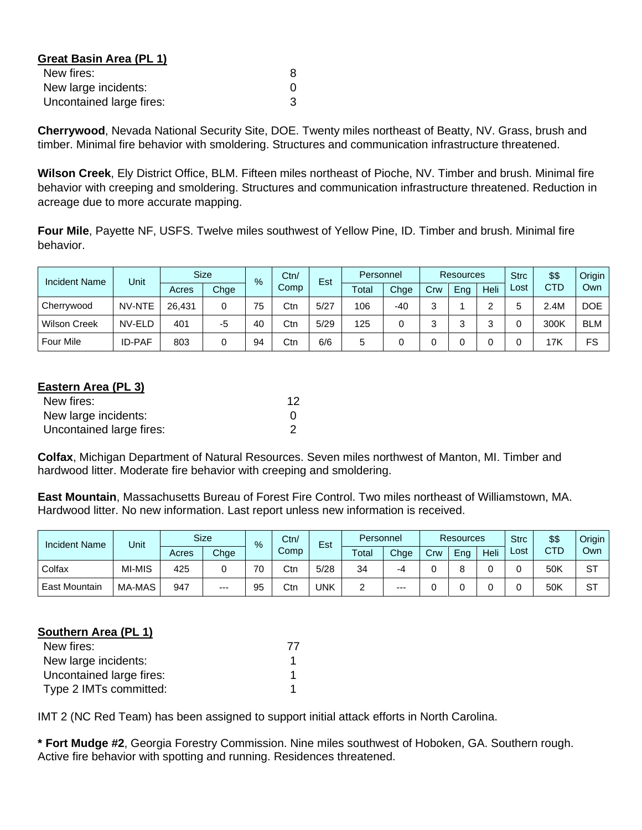| Great Basin Area (PL 1)  |   |
|--------------------------|---|
| New fires:               | 8 |
| New large incidents:     |   |
| Uncontained large fires: | З |

**Cherrywood**, Nevada National Security Site, DOE. Twenty miles northeast of Beatty, NV. Grass, brush and timber. Minimal fire behavior with smoldering. Structures and communication infrastructure threatened.

**Wilson Creek**, Ely District Office, BLM. Fifteen miles northeast of Pioche, NV. Timber and brush. Minimal fire behavior with creeping and smoldering. Structures and communication infrastructure threatened. Reduction in acreage due to more accurate mapping.

**Four Mile**, Payette NF, USFS. Twelve miles southwest of Yellow Pine, ID. Timber and brush. Minimal fire behavior.

| <b>Incident Name</b> | Unit          |        | <b>Size</b> | %  | Ctn/ | Est  |       | Personnel |     | <b>Resources</b> |      |      | \$\$       | Origin     |
|----------------------|---------------|--------|-------------|----|------|------|-------|-----------|-----|------------------|------|------|------------|------------|
|                      |               | Acres  | Chge        |    | Comp |      | Total | Chge      | Crw | Eng              | Heli | Lost | <b>CTD</b> | Own        |
| Cherrywood           | NV-NTE        | 26,431 | 0           | 75 | Ctn  | 5/27 | 106   | $-40$     | ◠   |                  | ◠    |      | 2.4M       | <b>DOE</b> |
| <b>Wilson Creek</b>  | NV-ELD        | 401    | -5          | 40 | Ctn  | 5/29 | 125   |           |     |                  | ⌒    |      | 300K       | <b>BLM</b> |
| <b>Four Mile</b>     | <b>ID-PAF</b> | 803    | 0           | 94 | Ctn  | 6/6  | 5     |           |     |                  |      |      | 17K        | FS         |

| Eastern Area (PL 3)      |    |
|--------------------------|----|
| New fires:               | 12 |
| New large incidents:     |    |
| Uncontained large fires: |    |

**Colfax**, Michigan Department of Natural Resources. Seven miles northwest of Manton, MI. Timber and hardwood litter. Moderate fire behavior with creeping and smoldering.

**East Mountain**, Massachusetts Bureau of Forest Fire Control. Two miles northeast of Williamstown, MA. Hardwood litter. No new information. Last report unless new information is received.

| <b>Incident Name</b> | Unit   |       | <b>Size</b> | Ctn/<br>$\%$ |      | Est  |       | Personnel |     | <b>Resources</b> |      |      | \$\$       | Origin |
|----------------------|--------|-------|-------------|--------------|------|------|-------|-----------|-----|------------------|------|------|------------|--------|
|                      |        | Acres | Chge        |              | Comp |      | Total | Chge      | Crw | Eng              | Heli | Lost | <b>CTD</b> | Own    |
| Colfax               | MI-MIS | 425   |             | 70           | Ctn  | 5/28 | 34    | -4        |     |                  |      |      | 50K        | ST     |
| <b>East Mountain</b> | MA-MAS | 947   | $---$       | 95           | Ctn  | UNK  |       | $---$     |     |                  |      |      | 50K        | SТ     |

#### **Southern Area (PL 1)**

| New fires:               |  |
|--------------------------|--|
| New large incidents:     |  |
| Uncontained large fires: |  |
| Type 2 IMTs committed:   |  |

IMT 2 (NC Red Team) has been assigned to support initial attack efforts in North Carolina.

**\* Fort Mudge #2**, Georgia Forestry Commission. Nine miles southwest of Hoboken, GA. Southern rough. Active fire behavior with spotting and running. Residences threatened.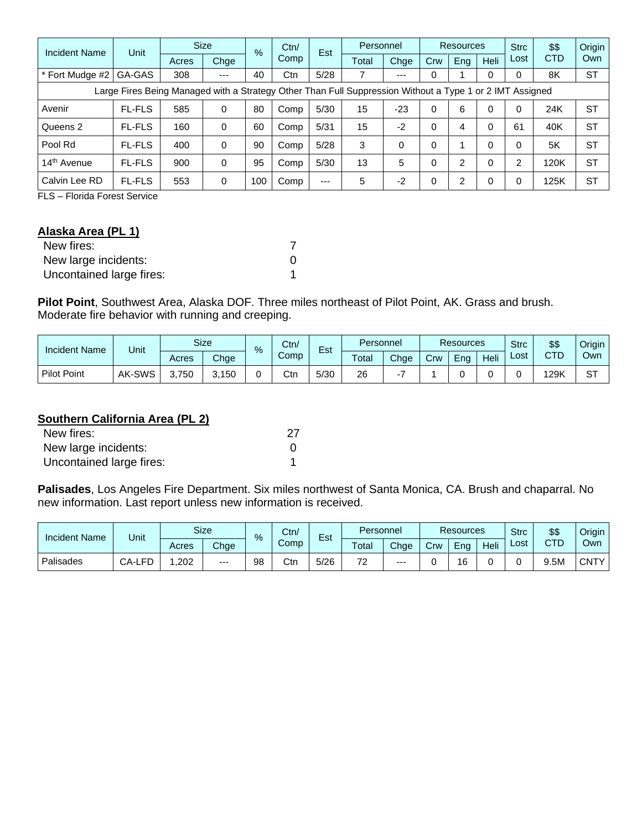| <b>Incident Name</b>                                                                                     | Unit          | <b>Size</b> |      | $\%$ | Ctn/ | Est   |       | Personnel |     | Resources |              |      | \$\$       | Origin    |
|----------------------------------------------------------------------------------------------------------|---------------|-------------|------|------|------|-------|-------|-----------|-----|-----------|--------------|------|------------|-----------|
|                                                                                                          |               | Acres       | Chge |      | Comp |       | Total | Chge      | Crw | Eng       | Heli         | Lost | <b>CTD</b> | Own       |
| * Fort Mudge #2                                                                                          | GA-GAS        | 308         | $--$ | 40   | Ctn  | 5/28  | 7     | $---$     | 0   |           |              |      | 8K         | <b>ST</b> |
| Large Fires Being Managed with a Strategy Other Than Full Suppression Without a Type 1 or 2 IMT Assigned |               |             |      |      |      |       |       |           |     |           |              |      |            |           |
| Avenir                                                                                                   | <b>FL-FLS</b> | 585         | 0    | 80   | Comp | 5/30  | 15    | $-23$     | 0   | 6         | $\Omega$     | 0    | 24K        | <b>ST</b> |
| Queens 2                                                                                                 | <b>FL-FLS</b> | 160         | 0    | 60   | Comp | 5/31  | 15    | $-2$      | 0   | 4         | 0            | 61   | 40K        | <b>ST</b> |
| Pool Rd                                                                                                  | <b>FL-FLS</b> | 400         | 0    | 90   | Comp | 5/28  | 3     | 0         |     |           | $\Omega$     |      | 5K         | <b>ST</b> |
| 14 <sup>th</sup> Avenue                                                                                  | <b>FL-FLS</b> | 900         | 0    | 95   | Comp | 5/30  | 13    | 5         |     | 2         | $\mathbf{0}$ | ົ    | 120K       | <b>ST</b> |
| Calvin Lee RD                                                                                            | <b>FL-FLS</b> | 553         | 0    | 100  | Comp | $---$ | 5     | $-2$      | 0   | 2         | 0            |      | 125K       | <b>ST</b> |

FLS – Florida Forest Service

## **Alaska Area (PL 1)**

| New fires:               |  |
|--------------------------|--|
| New large incidents:     |  |
| Uncontained large fires: |  |

**Pilot Point**, Southwest Area, Alaska DOF. Three miles northeast of Pilot Point, AK. Grass and brush. Moderate fire behavior with running and creeping.

| <b>Incident Name</b> | Unit   |       | <b>Size</b> | % | Ctn/ | -<br>Est<br>Comp | Personnel |      | <b>Resources</b> |     |      | <b>Strc</b> | \$\$ | $J$ rigin |
|----------------------|--------|-------|-------------|---|------|------------------|-----------|------|------------------|-----|------|-------------|------|-----------|
|                      |        | Acres | Chge        |   |      |                  | Total     | Chge | Crw              | Ena | Heli | ∟ost        | CTD  | Own       |
| <b>Pilot Point</b>   | AK-SWS | 750   | 3,150       |   | Ctn  | 5/30             | 26        |      |                  |     |      |             | 29K  | oт<br>ا ت |

### **Southern California Area (PL 2)**

| New fires:               |  |
|--------------------------|--|
| New large incidents:     |  |
| Uncontained large fires: |  |

**Palisades**, Los Angeles Fire Department. Six miles northwest of Santa Monica, CA. Brush and chaparral. No new information. Last report unless new information is received.

| <b>Incident Name</b> | Unit   |       | <b>Size</b> |    | Ctn/<br>$\%$<br>Comp |      | -<br>Est       | Personnel |     | <b>Resources</b> |      | <b>Strc</b> | \$\$     | Origin      |
|----------------------|--------|-------|-------------|----|----------------------|------|----------------|-----------|-----|------------------|------|-------------|----------|-------------|
|                      |        | Acres | Chge        |    |                      |      | Total          | Chge      | Crw | Ena              | Heli | ∟ost        | CTD<br>◡ | Own         |
| Palisades            | CA-LFD | ,202  | $---$       | 98 | Ctn                  | 5/26 | 70<br><u>.</u> | $---$     |     | 4C<br>~          |      |             | 9.5M     | <b>CNTY</b> |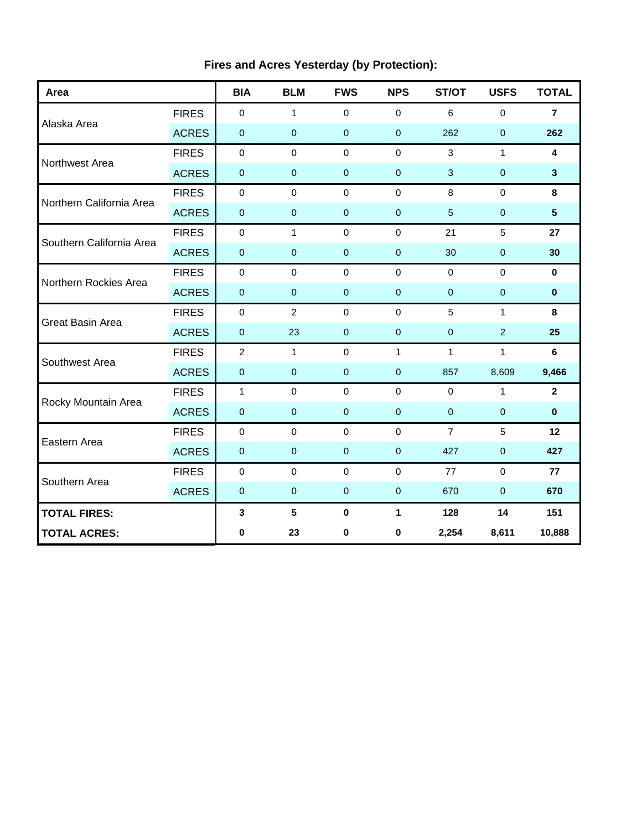| Area                     |              | <b>BIA</b>     | <b>BLM</b>     | <b>FWS</b>       | <b>NPS</b>       | ST/OT          | <b>USFS</b>    | <b>TOTAL</b>    |
|--------------------------|--------------|----------------|----------------|------------------|------------------|----------------|----------------|-----------------|
|                          | <b>FIRES</b> | $\mathbf 0$    | $\mathbf{1}$   | $\mathbf 0$      | $\mathbf 0$      | 6              | $\mathbf 0$    | $\overline{7}$  |
| Alaska Area              | <b>ACRES</b> | $\pmb{0}$      | $\pmb{0}$      | $\mathbf 0$      | $\mathbf{0}$     | 262            | $\pmb{0}$      | 262             |
| Northwest Area           | <b>FIRES</b> | $\mathbf 0$    | $\mathbf 0$    | $\mathbf 0$      | $\mathbf 0$      | 3              | $\mathbf{1}$   | 4               |
|                          | <b>ACRES</b> | $\pmb{0}$      | $\pmb{0}$      | $\boldsymbol{0}$ | $\pmb{0}$        | $\mathbf{3}$   | $\pmb{0}$      | 3               |
| Northern California Area | <b>FIRES</b> | $\pmb{0}$      | $\mathbf 0$    | $\mathbf 0$      | $\mathbf 0$      | 8              | $\mathbf 0$    | 8               |
|                          | <b>ACRES</b> | $\pmb{0}$      | $\pmb{0}$      | $\pmb{0}$        | $\boldsymbol{0}$ | $\overline{5}$ | $\pmb{0}$      | $5\phantom{.0}$ |
| Southern California Area | <b>FIRES</b> | $\pmb{0}$      | $\mathbf{1}$   | $\mathbf 0$      | $\mathbf 0$      | 21             | 5              | 27              |
|                          | <b>ACRES</b> | $\mathbf 0$    | $\pmb{0}$      | $\pmb{0}$        | $\mathbf 0$      | 30             | $\mathbf 0$    | 30              |
| Northern Rockies Area    | <b>FIRES</b> | $\mathbf 0$    | $\Omega$       | $\Omega$         | $\Omega$         | $\mathbf 0$    | $\Omega$       | $\mathbf{0}$    |
|                          | <b>ACRES</b> | $\pmb{0}$      | $\pmb{0}$      | $\pmb{0}$        | $\mathbf 0$      | $\pmb{0}$      | $\pmb{0}$      | $\bf{0}$        |
| <b>Great Basin Area</b>  | <b>FIRES</b> | $\pmb{0}$      | $\overline{2}$ | $\mathbf 0$      | $\mathbf 0$      | 5              | $\mathbf{1}$   | 8               |
|                          | <b>ACRES</b> | $\pmb{0}$      | 23             | $\pmb{0}$        | $\mathbf 0$      | $\mathbf 0$    | $\overline{2}$ | 25              |
| Southwest Area           | <b>FIRES</b> | $\overline{2}$ | $\mathbf{1}$   | $\mathbf 0$      | $\mathbf{1}$     | $\mathbf{1}$   | $\mathbf{1}$   | $6\phantom{1}$  |
|                          | <b>ACRES</b> | $\mathbf 0$    | $\mathbf{0}$   | $\mathbf{0}$     | $\mathbf 0$      | 857            | 8,609          | 9,466           |
| Rocky Mountain Area      | <b>FIRES</b> | $\mathbf{1}$   | $\pmb{0}$      | $\pmb{0}$        | $\mathbf 0$      | $\mathbf 0$    | $\mathbf{1}$   | $\overline{2}$  |
|                          | <b>ACRES</b> | $\pmb{0}$      | $\pmb{0}$      | $\mathbf 0$      | $\pmb{0}$        | $\mathbf 0$    | $\pmb{0}$      | $\bf{0}$        |
| Eastern Area             | <b>FIRES</b> | $\pmb{0}$      | $\mathbf 0$    | $\mathbf 0$      | $\mathbf 0$      | $\overline{7}$ | 5              | 12              |
|                          | <b>ACRES</b> | $\pmb{0}$      | $\mathbf 0$    | $\mathbf 0$      | $\mathbf 0$      | 427            | $\pmb{0}$      | 427             |
| Southern Area            | <b>FIRES</b> | $\mathbf 0$    | $\Omega$       | $\mathbf 0$      | $\Omega$         | 77             | $\mathbf 0$    | 77              |
|                          | <b>ACRES</b> | $\mathbf 0$    | $\mathbf 0$    | $\mathbf 0$      | $\mathbf{0}$     | 670            | $\mathbf 0$    | 670             |
| <b>TOTAL FIRES:</b>      |              | 3              | ${\bf 5}$      | $\pmb{0}$        | 1                | 128            | 14             | 151             |
| <b>TOTAL ACRES:</b>      |              | $\bf{0}$       | 23             | 0                | 0                | 2,254          | 8,611          | 10,888          |

# **Fires and Acres Yesterday (by Protection):**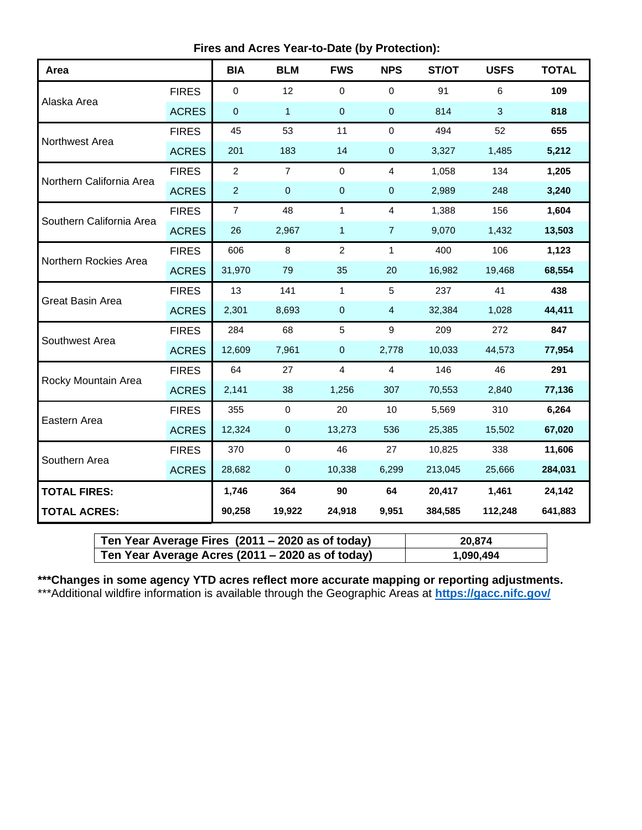| Area                     |              | <b>BIA</b>       | <b>BLM</b>     | <b>FWS</b>     | <b>NPS</b>       | ST/OT   | <b>USFS</b>  | <b>TOTAL</b> |
|--------------------------|--------------|------------------|----------------|----------------|------------------|---------|--------------|--------------|
|                          | <b>FIRES</b> | 0                | 12             | 0              | $\mathbf 0$      | 91      | 6            | 109          |
| Alaska Area              | <b>ACRES</b> | 0                | $\mathbf{1}$   | $\pmb{0}$      | $\pmb{0}$        | 814     | $\mathbf{3}$ | 818          |
|                          | <b>FIRES</b> | 45               | 53             | 11             | $\mathbf 0$      | 494     | 52           | 655          |
| Northwest Area           | <b>ACRES</b> | 201              | 183            | 14             | $\pmb{0}$        | 3,327   | 1,485        | 5,212        |
|                          | <b>FIRES</b> | $\boldsymbol{2}$ | $\overline{7}$ | $\mathbf 0$    | $\overline{4}$   | 1,058   | 134          | 1,205        |
| Northern California Area | <b>ACRES</b> | $\overline{2}$   | 0              | $\pmb{0}$      | $\pmb{0}$        | 2,989   | 248          | 3,240        |
| Southern California Area | <b>FIRES</b> | $\overline{7}$   | 48             | $\mathbf{1}$   | $\overline{4}$   | 1,388   | 156          | 1,604        |
|                          | <b>ACRES</b> | 26               | 2,967          | $\mathbf{1}$   | $\overline{7}$   | 9,070   | 1,432        | 13,503       |
| Northern Rockies Area    | <b>FIRES</b> | 606              | 8              | $\overline{2}$ | $\mathbf{1}$     | 400     | 106          | 1,123        |
|                          | <b>ACRES</b> | 31,970           | 79             | 35             | 20               | 16,982  | 19,468       | 68,554       |
|                          | <b>FIRES</b> | 13               | 141            | $\mathbf{1}$   | 5                | 237     | 41           | 438          |
| Great Basin Area         | <b>ACRES</b> | 2,301            | 8,693          | $\mathbf 0$    | $\overline{4}$   | 32,384  | 1,028        | 44,411       |
|                          | <b>FIRES</b> | 284              | 68             | 5              | $\boldsymbol{9}$ | 209     | 272          | 847          |
| Southwest Area           | <b>ACRES</b> | 12,609           | 7,961          | $\pmb{0}$      | 2,778            | 10,033  | 44,573       | 77,954       |
|                          | <b>FIRES</b> | 64               | 27             | $\overline{4}$ | $\overline{4}$   | 146     | 46           | 291          |
| Rocky Mountain Area      | <b>ACRES</b> | 2,141            | 38             | 1,256          | 307              | 70,553  | 2,840        | 77,136       |
|                          | <b>FIRES</b> | 355              | $\mathbf 0$    | 20             | 10               | 5,569   | 310          | 6,264        |
| Eastern Area             | <b>ACRES</b> | 12,324           | $\pmb{0}$      | 13,273         | 536              | 25,385  | 15,502       | 67,020       |
|                          | <b>FIRES</b> | 370              | $\pmb{0}$      | 46             | 27               | 10,825  | 338          | 11,606       |
| Southern Area            | <b>ACRES</b> | 28,682           | $\pmb{0}$      | 10,338         | 6,299            | 213,045 | 25,666       | 284,031      |
| <b>TOTAL FIRES:</b>      |              | 1,746            | 364            | 90             | 64               | 20,417  | 1,461        | 24,142       |
| <b>TOTAL ACRES:</b>      |              | 90,258           | 19,922         | 24,918         | 9,951            | 384,585 | 112,248      | 641,883      |

| Ten Year Average Fires (2011 – 2020 as of today) | 20,874    |
|--------------------------------------------------|-----------|
| Ten Year Average Acres (2011 – 2020 as of today) | 1,090,494 |

**\*\*\*Changes in some agency YTD acres reflect more accurate mapping or reporting adjustments.** \*\*\*Additional wildfire information is available through the Geographic Areas at **<https://gacc.nifc.gov/>**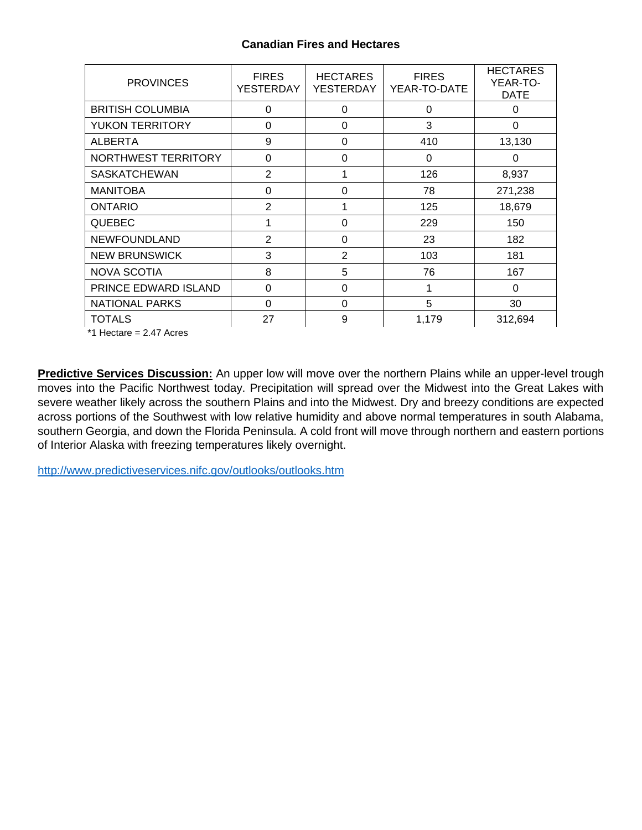#### **Canadian Fires and Hectares**

| <b>PROVINCES</b>        | <b>FIRES</b><br>YESTERDAY | <b>HECTARES</b><br>YESTERDAY | <b>FIRES</b><br>YEAR-TO-DATE | <b>HECTARES</b><br>YEAR-TO-<br><b>DATE</b> |
|-------------------------|---------------------------|------------------------------|------------------------------|--------------------------------------------|
| <b>BRITISH COLUMBIA</b> | $\Omega$                  | $\Omega$                     | $\Omega$                     | 0                                          |
| <b>YUKON TERRITORY</b>  | 0                         | 0                            | 3                            | 0                                          |
| <b>ALBERTA</b>          | 9                         | 0                            | 410                          | 13,130                                     |
| NORTHWEST TERRITORY     | 0                         | 0                            | 0                            | $\Omega$                                   |
| <b>SASKATCHEWAN</b>     | $\overline{2}$            | 1                            | 126                          | 8,937                                      |
| <b>MANITOBA</b>         | 0                         | 0                            | 78                           | 271,238                                    |
| <b>ONTARIO</b>          | 2                         | 1                            | 125                          | 18,679                                     |
| <b>QUEBEC</b>           |                           | $\Omega$                     | 229                          | 150                                        |
| <b>NEWFOUNDLAND</b>     | 2                         | 0                            | 23                           | 182                                        |
| <b>NEW BRUNSWICK</b>    | 3                         | 2                            | 103                          | 181                                        |
| <b>NOVA SCOTIA</b>      | 8                         | 5                            | 76                           | 167                                        |
| PRINCE EDWARD ISLAND    | 0                         | 0                            | 1                            | 0                                          |
| <b>NATIONAL PARKS</b>   | 0                         | 0                            | 5                            | 30                                         |
| <b>TOTALS</b>           | 27                        | 9                            | 1,179                        | 312,694                                    |

\*1 Hectare = 2.47 Acres

**Predictive Services Discussion:** An upper low will move over the northern Plains while an upper-level trough moves into the Pacific Northwest today. Precipitation will spread over the Midwest into the Great Lakes with severe weather likely across the southern Plains and into the Midwest. Dry and breezy conditions are expected across portions of the Southwest with low relative humidity and above normal temperatures in south Alabama, southern Georgia, and down the Florida Peninsula. A cold front will move through northern and eastern portions of Interior Alaska with freezing temperatures likely overnight.

<http://www.predictiveservices.nifc.gov/outlooks/outlooks.htm>